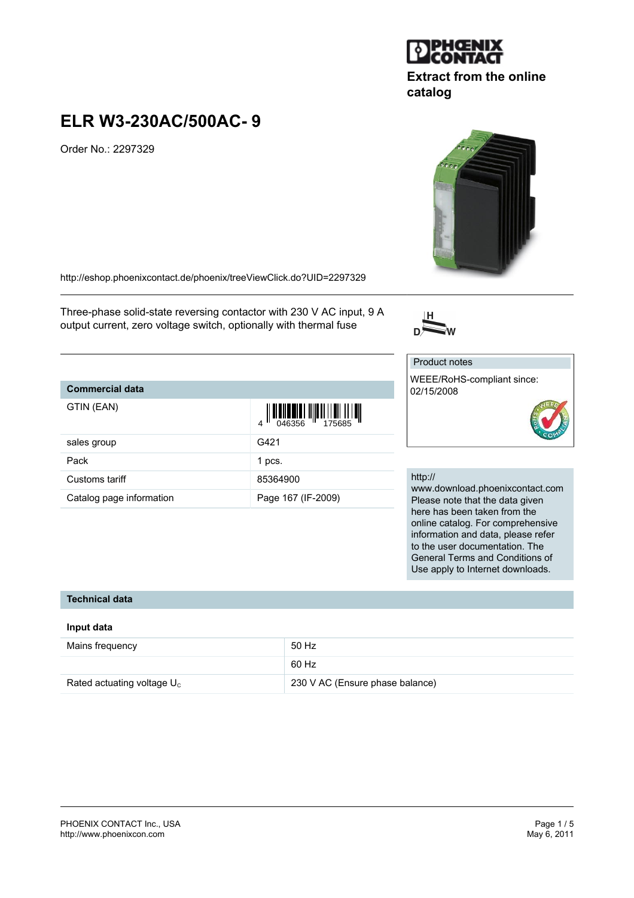#### PHOENIX CONTACT Inc., USA Page 1 / 5 <http://www.phoenixcon.com>

# **ELR W3-230AC/500AC- 9**

Order No.: 2297329

<http://eshop.phoenixcontact.de/phoenix/treeViewClick.do?UID=2297329>

Three-phase solid-state reversing contactor with 230 V AC input, 9 A output current, zero voltage switch, optionally with thermal fuse

# **Commercial data**

| GTIN (EAN)               | $\begin{array}{c} 1 \\ 0 \\ \hline 0 \\ 46356 \end{array}$ |
|--------------------------|------------------------------------------------------------|
| sales group              | G421                                                       |
| Pack                     | 1 pcs.                                                     |
| Customs tariff           | 85364900                                                   |
| Catalog page information | Page 167 (IF-2009)                                         |

#### http://

Product notes

02/15/2008

www.download.phoenixcontact.com Please note that the data given here has been taken from the online catalog. For comprehensive information and data, please refer to the user documentation. The General Terms and Conditions of Use apply to Internet downloads.

#### **Technical data**

#### **Input data**

| Mains frequency               | 50 Hz                           |
|-------------------------------|---------------------------------|
|                               | 60 Hz                           |
| Rated actuating voltage $U_c$ | 230 V AC (Ensure phase balance) |





**JPHGENIX** 

۱ò

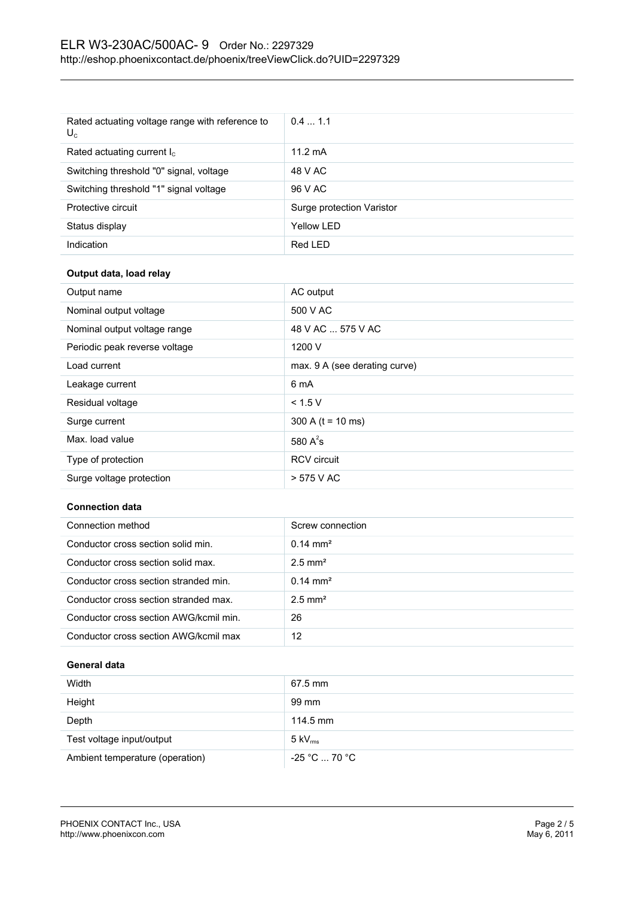| Rated actuating voltage range with reference to<br>$U_c$ | 0.41.1                    |
|----------------------------------------------------------|---------------------------|
| Rated actuating current $I_c$                            | $11.2 \text{ mA}$         |
| Switching threshold "0" signal, voltage                  | 48 V AC                   |
| Switching threshold "1" signal voltage                   | 96 V AC                   |
| Protective circuit                                       | Surge protection Varistor |
| Status display                                           | Yellow LED                |
| Indication                                               | Red LED                   |

# **Output data, load relay**

| Output name                   | AC output                     |
|-------------------------------|-------------------------------|
| Nominal output voltage        | 500 V AC                      |
| Nominal output voltage range  | 48 V AC  575 V AC             |
| Periodic peak reverse voltage | 1200 V                        |
| Load current                  | max. 9 A (see derating curve) |
| Leakage current               | 6 mA                          |
| Residual voltage              | < 1.5 V                       |
| Surge current                 | 300 A ( $t = 10$ ms)          |
| Max. load value               | 580 $A^2$ s                   |
| Type of protection            | <b>RCV</b> circuit            |
| Surge voltage protection      | > 575 V AC                    |

#### **Connection data**

| Connection method                      | Screw connection      |
|----------------------------------------|-----------------------|
| Conductor cross section solid min.     | $0.14 \text{ mm}^2$   |
| Conductor cross section solid max.     | $2.5$ mm <sup>2</sup> |
| Conductor cross section stranded min.  | $0.14 \text{ mm}^2$   |
| Conductor cross section stranded max.  | $2.5$ mm <sup>2</sup> |
| Conductor cross section AWG/kcmil min. | 26                    |
| Conductor cross section AWG/kcmil max  | 12                    |

# **General data**

| Width                           | 67.5 mm                      |
|---------------------------------|------------------------------|
| Height                          | 99 mm                        |
| Depth                           | 114.5 mm                     |
| Test voltage input/output       | $5 \text{ kV}_{\text{rms}}$  |
| Ambient temperature (operation) | $-25$ °C $\ldots$ 70 °C $\,$ |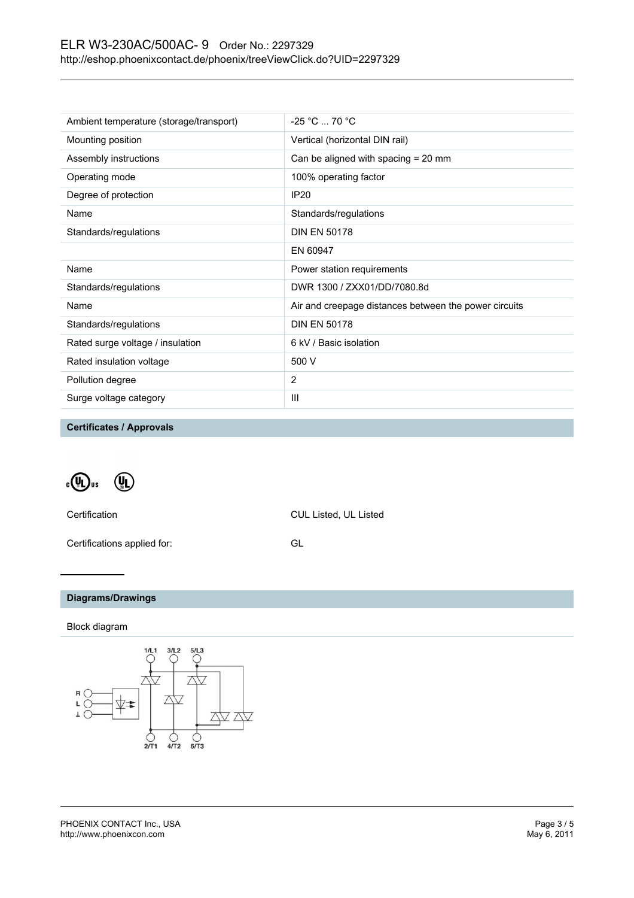# ELR W3-230AC/500AC- 9 Order No.: 2297329 <http://eshop.phoenixcontact.de/phoenix/treeViewClick.do?UID=2297329>

| Ambient temperature (storage/transport) | $-25 °C  70 °C$                                       |
|-----------------------------------------|-------------------------------------------------------|
| Mounting position                       | Vertical (horizontal DIN rail)                        |
| Assembly instructions                   | Can be aligned with spacing $= 20$ mm                 |
| Operating mode                          | 100% operating factor                                 |
| Degree of protection                    | <b>IP20</b>                                           |
| Name                                    | Standards/regulations                                 |
| Standards/regulations                   | <b>DIN EN 50178</b>                                   |
|                                         | EN 60947                                              |
| Name                                    | Power station requirements                            |
| Standards/regulations                   | DWR 1300 / ZXX01/DD/7080.8d                           |
| Name                                    | Air and creepage distances between the power circuits |
| Standards/regulations                   | <b>DIN EN 50178</b>                                   |
| Rated surge voltage / insulation        | 6 kV / Basic isolation                                |
| Rated insulation voltage                | 500 V                                                 |
| Pollution degree                        | 2                                                     |
| Surge voltage category                  | III                                                   |
|                                         |                                                       |

**Certificates / Approvals**

 $\sqrt[\alpha]{\mathbf{u}}$ us  $\mathbb{Q}_D$ 

Certification CUL Listed, UL Listed

Certifications applied for: GL

# **Diagrams/Drawings**

### Block diagram

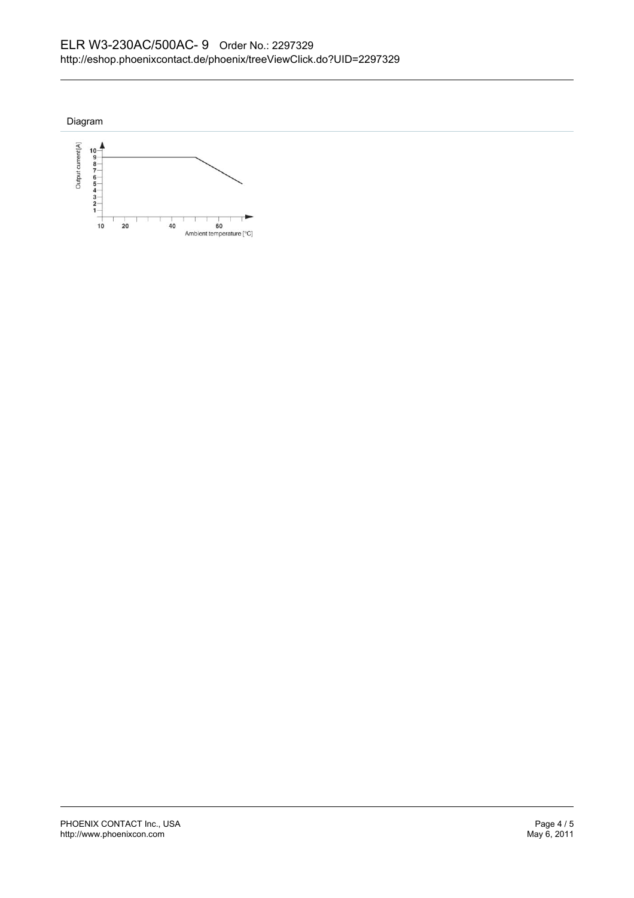